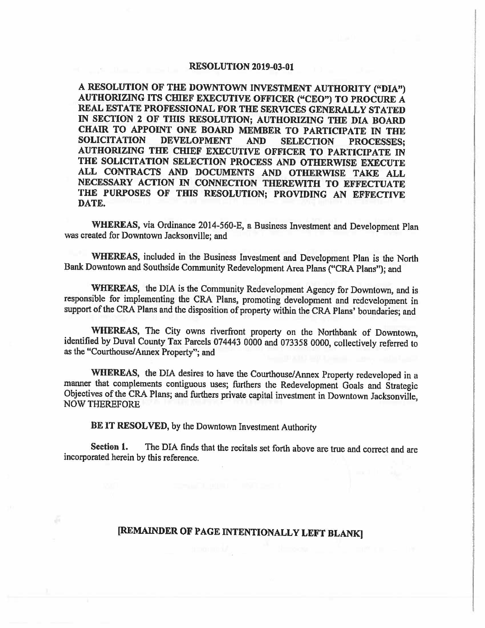## **RESOLUTION 2019-03-01**

**A RESOLUTION** OF **THE DOWNTOWN INVESTMENT AUTHORITY ("DIA") AUTHORIZING ITS CWEF EXECUTIVE OFFICER ("CEO") TO PROCURE A REAL ESTATE PROFESSIONAL FOR THE SERVICES GENERALLY STATED**  IN **SECTION 2** OF **THIS RESOLUTION; AUTHORIZING THE DIA BOARD CHAIR TO APPOINT ONE BOARD MEMBER TO PARTICIPATE IN THE SOLICITATION DEVELOPMENT AND SELECTION PROCESSES. SOLICITATION DEVELOPMENT AND SELECTION PROCESSES;**  AUTHORIZING THE CHIEF EXECUTIVE OFFICER TO PARTICIPATE IN **THE SOLICITATION SELECTION PROCESS AND OTHERWISE EXECUTE ALL CONTRACTS AND DOCUMENTS AND OTHERWISE TAKE ALL NECESSARY ACTION** IN **CONNECTION THEREWITH TO EFFECTUATE**  THE PURPOSES OF THIS RESOLUTION; PROVIDING AN EFFECTIVE **DATE.** 

**WHEREAS,** via Ordinance 2014-560-E, a Business Investment and Development Plan was created for Downtown Jacksonville; and

**WHEREAS,** included in the Business Investment and Development Plan is the North Bank Downtown and Southside Community Redevelopment Arca Plans ("CRA Plans"); and

**WHEREAS,** the DIA is the Community Redevelopment Agency for Downtown, and is responsible for implementing the CRA Plans, promoting development and redevelopment in support of the CRA Plans and the disposition of property within the CRA Plans' boundaries; and

**WHEREAS,** The City owns riverfront property on the Northbank of Downtown, identified by Duval County Tax Parcels 074443 0000 and 073358 0000, collectively referred to as the "Courthouse/ Annex Property"; and

**WHEREAS,** the DIA desires to have the Courthouse/Annex Property redeveloped in a manner that complements contiguous uses; furthers the Redevelopment Goals and Strategic Objectives of the CRA Plans; and furthers private capital investment in Downtown Jacksonville, NOW THEREFORE

**BE IT RESOLVED,** by the Downtown Investment Authority

**Section 1.** The DIA finds that the recitals set forth above are true and correct and are incorporated herein by this reference.

## **[REMAINDER OF PAGE INTENTIONALLY LEFT BLANK]**